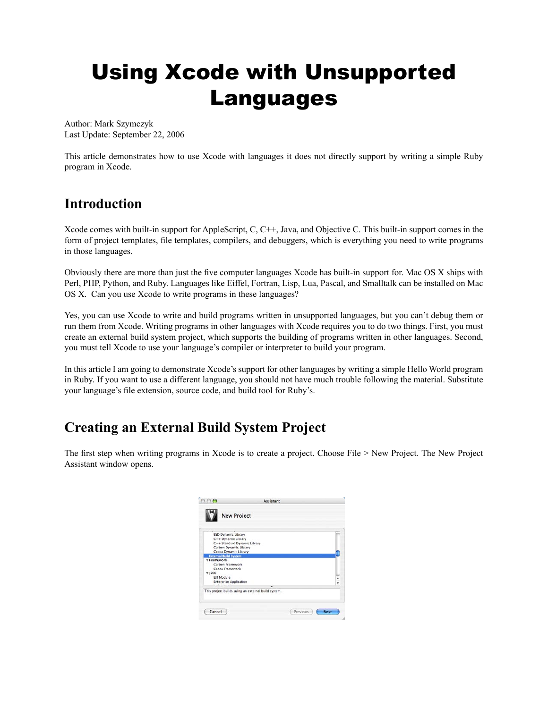# Using Xcode with Unsupported Languages

Author: Mark Szymczyk Last Update: September 22, 2006

This article demonstrates how to use Xcode with languages it does not directly support by writing a simple Ruby program in Xcode.

# **Introduction**

Xcode comes with built-in support for AppleScript, C, C++, Java, and Objective C. This built-in support comes in the form of project templates, file templates, compilers, and debuggers, which is everything you need to write programs in those languages.

Obviously there are more than just the five computer languages Xcode has built-in support for. Mac OS X ships with Perl, PHP, Python, and Ruby. Languages like Eiffel, Fortran, Lisp, Lua, Pascal, and Smalltalk can be installed on Mac OS X. Can you use Xcode to write programs in these languages?

Yes, you can use Xcode to write and build programs written in unsupported languages, but you can't debug them or run them from Xcode. Writing programs in other languages with Xcode requires you to do two things. First, you must create an external build system project, which supports the building of programs written in other languages. Second, you must tell Xcode to use your language's compiler or interpreter to build your program.

In this article I am going to demonstrate Xcode's support for other languages by writing a simple Hello World program in Ruby. If you want to use a different language, you should not have much trouble following the material. Substitute your language's file extension, source code, and build tool for Ruby's.

# **Creating an External Build System Project**

The first step when writing programs in Xcode is to create a project. Choose File > New Project. The New Project Assistant window opens.

| <b>BSD Dynamic Library</b>    |                                                     |   |
|-------------------------------|-----------------------------------------------------|---|
| C++ Dynamic Library           |                                                     |   |
| C++ Standard Dynamic Library  |                                                     |   |
| Carbon Dynamic Library        |                                                     |   |
| Cocoa Dynamic Library         |                                                     |   |
| <b>External Build System</b>  |                                                     |   |
| <b>Framework</b>              |                                                     |   |
| Carbon Framework              |                                                     |   |
| Cocoa Framework               |                                                     |   |
| $V$ 12EE                      |                                                     |   |
| EIB Module                    |                                                     | w |
| <b>Enterprise Application</b> |                                                     |   |
|                               | ۰                                                   |   |
|                               | This project builds using an external build system. |   |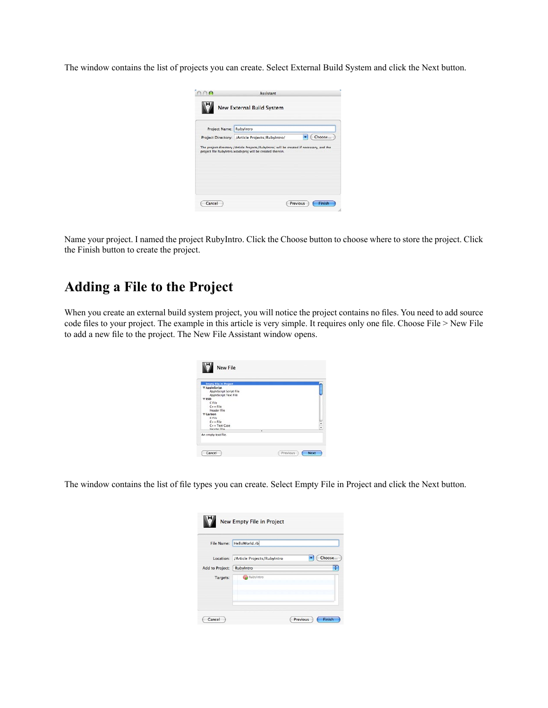The window contains the list of projects you can create. Select External Build System and click the Next button.

| Project Name: RubyIntro |                                                 |        |
|-------------------------|-------------------------------------------------|--------|
|                         | Project Directory: /Article Projects/RubyIntro/ | Choose |
|                         |                                                 |        |

Name your project. I named the project RubyIntro. Click the Choose button to choose where to store the project. Click the Finish button to create the project.

# **Adding a File to the Project**

When you create an external build system project, you will notice the project contains no files. You need to add source code files to your project. The example in this article is very simple. It requires only one file. Choose File > New File to add a new file to the project. The New File Assistant window opens.

| <b>Empty File in Project</b><br><b>T</b> AppleScript |    |
|------------------------------------------------------|----|
| AppleScript Script File                              |    |
| AppleScript Text File                                |    |
| <b>WBSD</b>                                          |    |
| C File                                               |    |
| $C \circ \bullet$ File                               |    |
| Header File                                          |    |
| <b>T</b> Carbon                                      |    |
| C File<br>$C* + File$                                |    |
| C++ Test Case                                        | Ŀ. |
|                                                      | ٠  |
| Mandar File<br>An empty text file.                   |    |

The window contains the list of file types you can create. Select Empty File in Project and click the Next button.

|                 | File Name: HelloWorld.rb    |        |  |
|-----------------|-----------------------------|--------|--|
| Location:       | /Article Projects/RubyIntro | Choose |  |
| Add to Project: | RubyIntro                   | ÷      |  |
| Targets:        | <b>RubyIntro</b>            |        |  |
|                 |                             |        |  |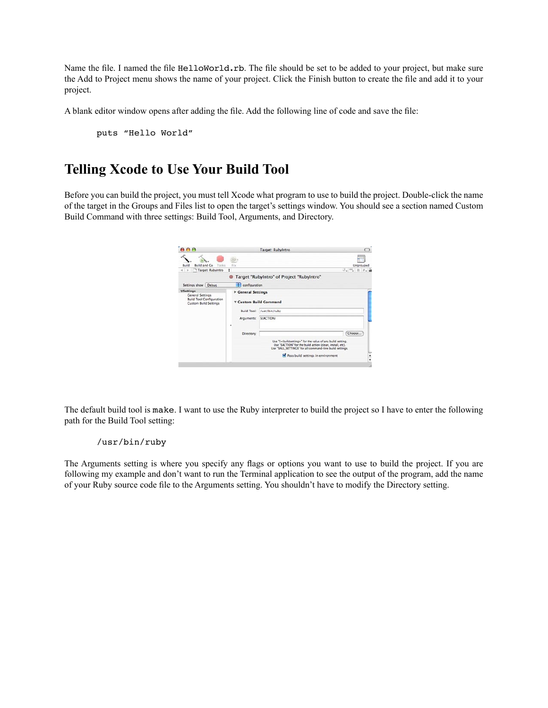Name the file. I named the file HelloWorld.rb. The file should be set to be added to your project, but make sure the Add to Project menu shows the name of your project. Click the Finish button to create the file and add it to your project.

A blank editor window opens after adding the file. Add the following line of code and save the file:

puts "Hello World"

### **Telling Xcode to Use Your Build Tool**

Before you can build the project, you must tell Xcode what program to use to build the project. Double-click the name of the target in the Groups and Files list to open the target's settings window. You should see a section named Custom Build Command with three settings: Build Tool, Arguments, and Directory.



The default build tool is make. I want to use the Ruby interpreter to build the project so I have to enter the following path for the Build Tool setting:

#### /usr/bin/ruby

The Arguments setting is where you specify any flags or options you want to use to build the project. If you are following my example and don't want to run the Terminal application to see the output of the program, add the name of your Ruby source code file to the Arguments setting. You shouldn't have to modify the Directory setting.